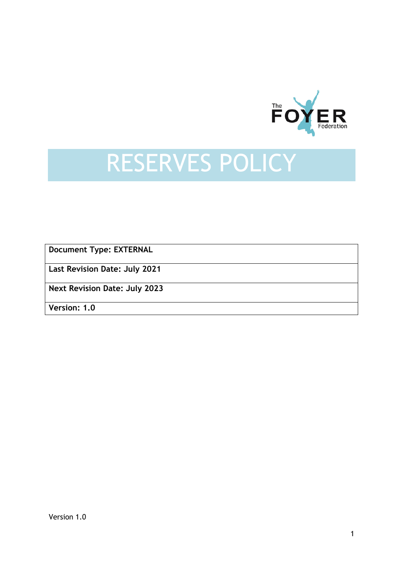

## RESERVES POLICY

**Document Type: EXTERNAL**

**Last Revision Date: July 2021**

**Next Revision Date: July 2023**

**Version: 1.0**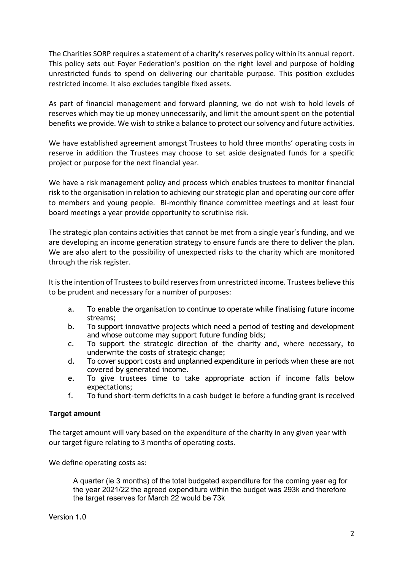The Charities SORP requires a statement of a charity's reserves policy within its annual report. This policy sets out Foyer Federation's position on the right level and purpose of holding unrestricted funds to spend on delivering our charitable purpose. This position excludes restricted income. It also excludes tangible fixed assets.

As part of financial management and forward planning, we do not wish to hold levels of reserves which may tie up money unnecessarily, and limit the amount spent on the potential benefits we provide. We wish to strike a balance to protect our solvency and future activities.

We have established agreement amongst Trustees to hold three months' operating costs in reserve in addition the Trustees may choose to set aside designated funds for a specific project or purpose for the next financial year.

We have a risk management policy and process which enables trustees to monitor financial risk to the organisation in relation to achieving our strategic plan and operating our core offer to members and young people. Bi-monthly finance committee meetings and at least four board meetings a year provide opportunity to scrutinise risk.

The strategic plan contains activities that cannot be met from a single year's funding, and we are developing an income generation strategy to ensure funds are there to deliver the plan. We are also alert to the possibility of unexpected risks to the charity which are monitored through the risk register.

It is the intention of Trustees to build reserves from unrestricted income. Trustees believe this to be prudent and necessary for a number of purposes:

- a. To enable the organisation to continue to operate while finalising future income streams;
- b. To support innovative projects which need a period of testing and development and whose outcome may support future funding bids;
- c. To support the strategic direction of the charity and, where necessary, to underwrite the costs of strategic change;
- d. To cover support costs and unplanned expenditure in periods when these are not covered by generated income.
- e. To give trustees time to take appropriate action if income falls below expectations;
- f. To fund short-term deficits in a cash budget ie before a funding grant is received

## **Target amount**

The target amount will vary based on the expenditure of the charity in any given year with our target figure relating to 3 months of operating costs.

We define operating costs as:

A quarter (ie 3 months) of the total budgeted expenditure for the coming year eg for the year 2021/22 the agreed expenditure within the budget was 293k and therefore the target reserves for March 22 would be 73k

Version 1.0